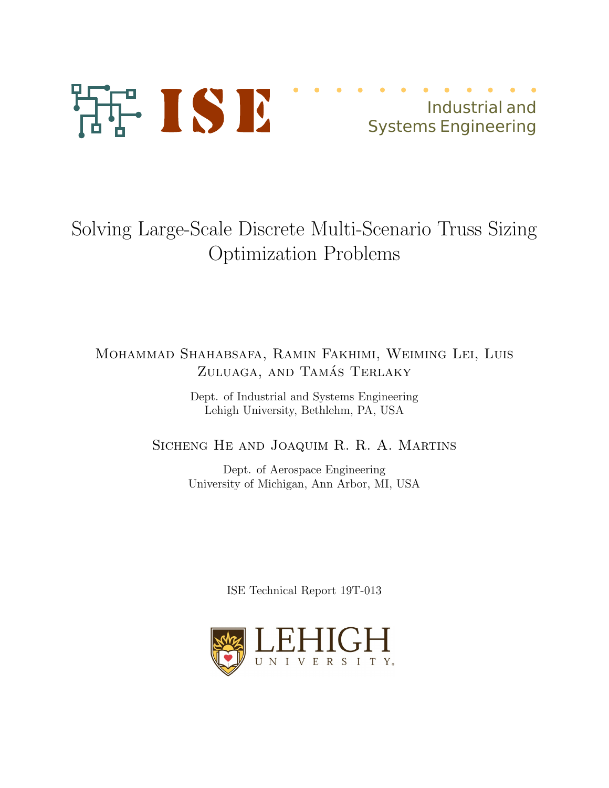

# Industrial and Systems Engineering

# Solving Large-Scale Discrete Multi-Scenario Truss Sizing Optimization Problems

## Mohammad Shahabsafa, Ramin Fakhimi, Weiming Lei, Luis ZULUAGA, AND TAMÁS TERLAKY

Dept. of Industrial and Systems Engineering Lehigh University, Bethlehm, PA, USA

### Sicheng He and Joaquim R. R. A. Martins

Dept. of Aerospace Engineering University of Michigan, Ann Arbor, MI, USA

ISE Technical Report 19T-013

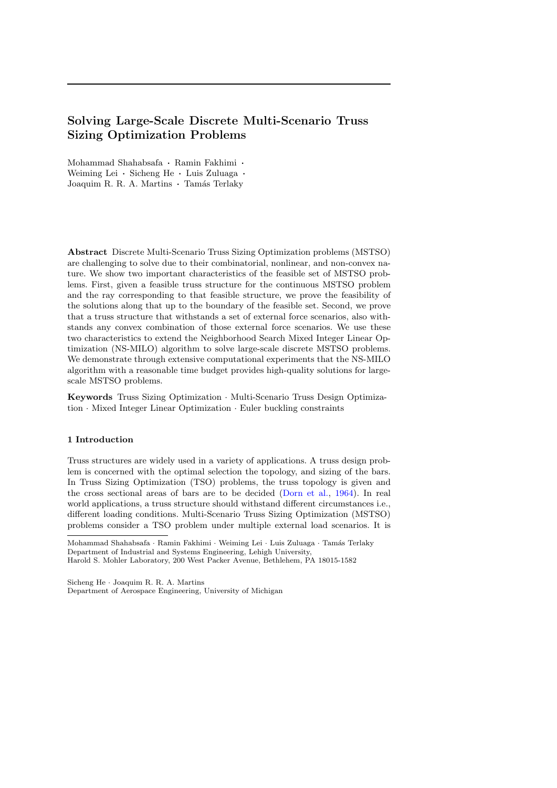### Solving Large-Scale Discrete Multi-Scenario Truss Sizing Optimization Problems

Mohammad Shahabsafa · Ramin Fakhimi · Weiming Lei · Sicheng He · Luis Zuluaga · Joaquim R. R. A. Martins · Tamás Terlaky

Abstract Discrete Multi-Scenario Truss Sizing Optimization problems (MSTSO) are challenging to solve due to their combinatorial, nonlinear, and non-convex nature. We show two important characteristics of the feasible set of MSTSO problems. First, given a feasible truss structure for the continuous MSTSO problem and the ray corresponding to that feasible structure, we prove the feasibility of the solutions along that up to the boundary of the feasible set. Second, we prove that a truss structure that withstands a set of external force scenarios, also withstands any convex combination of those external force scenarios. We use these two characteristics to extend the Neighborhood Search Mixed Integer Linear Optimization (NS-MILO) algorithm to solve large-scale discrete MSTSO problems. We demonstrate through extensive computational experiments that the NS-MILO algorithm with a reasonable time budget provides high-quality solutions for largescale MSTSO problems.

Keywords Truss Sizing Optimization · Multi-Scenario Truss Design Optimization · Mixed Integer Linear Optimization · Euler buckling constraints

#### 1 Introduction

Truss structures are widely used in a variety of applications. A truss design problem is concerned with the optimal selection the topology, and sizing of the bars. In Truss Sizing Optimization (TSO) problems, the truss topology is given and the cross sectional areas of bars are to be decided [\(Dorn et al.,](#page-13-0) [1964\)](#page-13-0). In real world applications, a truss structure should withstand different circumstances i.e., different loading conditions. Multi-Scenario Truss Sizing Optimization (MSTSO) problems consider a TSO problem under multiple external load scenarios. It is

Sicheng He · Joaquim R. R. A. Martins Department of Aerospace Engineering, University of Michigan

Mohammad Shahabsafa · Ramin Fakhimi · Weiming Lei · Luis Zuluaga · Tamás Terlaky Department of Industrial and Systems Engineering, Lehigh University, Harold S. Mohler Laboratory, 200 West Packer Avenue, Bethlehem, PA 18015-1582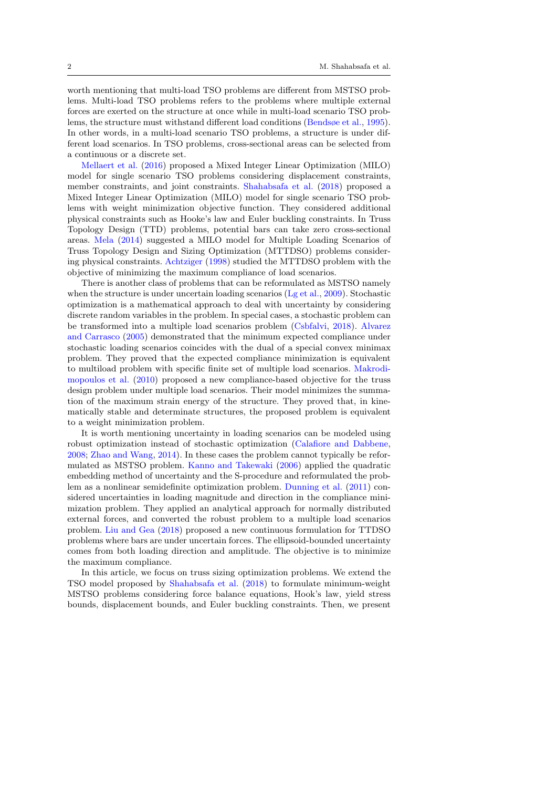worth mentioning that multi-load TSO problems are different from MSTSO problems. Multi-load TSO problems refers to the problems where multiple external forces are exerted on the structure at once while in multi-load scenario TSO problems, the structure must withstand different load conditions [\(Bendsøe et al.,](#page-13-1) [1995\)](#page-13-1). In other words, in a multi-load scenario TSO problems, a structure is under different load scenarios. In TSO problems, cross-sectional areas can be selected from a continuous or a discrete set.

[Mellaert et al.](#page-14-0) [\(2016\)](#page-14-0) proposed a Mixed Integer Linear Optimization (MILO) model for single scenario TSO problems considering displacement constraints, member constraints, and joint constraints. [Shahabsafa et al.](#page-14-1) [\(2018\)](#page-14-1) proposed a Mixed Integer Linear Optimization (MILO) model for single scenario TSO problems with weight minimization objective function. They considered additional physical constraints such as Hooke's law and Euler buckling constraints. In Truss Topology Design (TTD) problems, potential bars can take zero cross-sectional areas. [Mela](#page-14-2) [\(2014\)](#page-14-2) suggested a MILO model for Multiple Loading Scenarios of Truss Topology Design and Sizing Optimization (MTTDSO) problems considering physical constraints. [Achtziger](#page-13-2) [\(1998\)](#page-13-2) studied the MTTDSO problem with the objective of minimizing the maximum compliance of load scenarios.

There is another class of problems that can be reformulated as MSTSO namely when the structure is under uncertain loading scenarios ( $Lg$  et al., [2009\)](#page-14-3). Stochastic optimization is a mathematical approach to deal with uncertainty by considering discrete random variables in the problem. In special cases, a stochastic problem can be transformed into a multiple load scenarios problem [\(Csbfalvi,](#page-13-3) [2018\)](#page-13-3). [Alvarez](#page-13-4) [and Carrasco](#page-13-4) [\(2005\)](#page-13-4) demonstrated that the minimum expected compliance under stochastic loading scenarios coincides with the dual of a special convex minimax problem. They proved that the expected compliance minimization is equivalent to multiload problem with specific finite set of multiple load scenarios. [Makrodi](#page-14-4)[mopoulos et al.](#page-14-4) [\(2010\)](#page-14-4) proposed a new compliance-based objective for the truss design problem under multiple load scenarios. Their model minimizes the summation of the maximum strain energy of the structure. They proved that, in kinematically stable and determinate structures, the proposed problem is equivalent to a weight minimization problem.

It is worth mentioning uncertainty in loading scenarios can be modeled using robust optimization instead of stochastic optimization [\(Calafiore and Dabbene,](#page-13-5) [2008;](#page-13-5) [Zhao and Wang,](#page-14-5) [2014\)](#page-14-5). In these cases the problem cannot typically be reformulated as MSTSO problem. [Kanno and Takewaki](#page-14-6) [\(2006\)](#page-14-6) applied the quadratic embedding method of uncertainty and the S-procedure and reformulated the problem as a nonlinear semidefinite optimization problem. [Dunning et al.](#page-13-6) [\(2011\)](#page-13-6) considered uncertainties in loading magnitude and direction in the compliance minimization problem. They applied an analytical approach for normally distributed external forces, and converted the robust problem to a multiple load scenarios problem. [Liu and Gea](#page-14-7) [\(2018\)](#page-14-7) proposed a new continuous formulation for TTDSO problems where bars are under uncertain forces. The ellipsoid-bounded uncertainty comes from both loading direction and amplitude. The objective is to minimize the maximum compliance.

In this article, we focus on truss sizing optimization problems. We extend the TSO model proposed by [Shahabsafa et al.](#page-14-1) [\(2018\)](#page-14-1) to formulate minimum-weight MSTSO problems considering force balance equations, Hook's law, yield stress bounds, displacement bounds, and Euler buckling constraints. Then, we present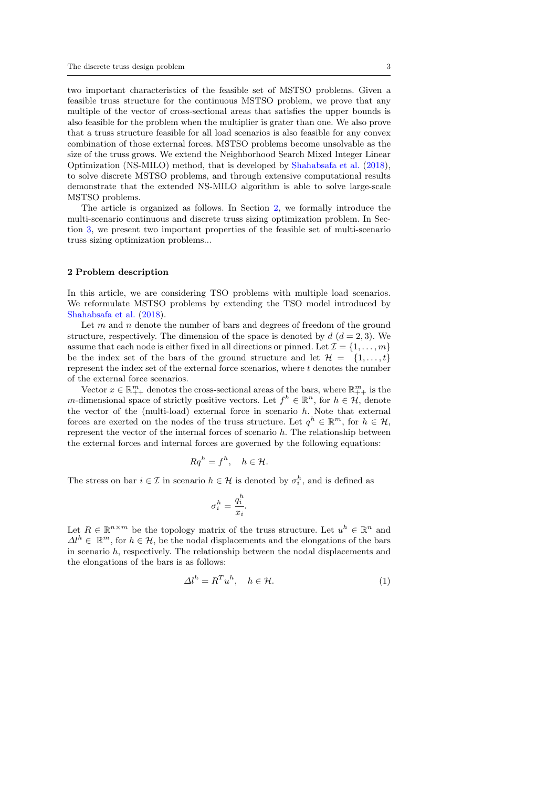two important characteristics of the feasible set of MSTSO problems. Given a feasible truss structure for the continuous MSTSO problem, we prove that any multiple of the vector of cross-sectional areas that satisfies the upper bounds is also feasible for the problem when the multiplier is grater than one. We also prove that a truss structure feasible for all load scenarios is also feasible for any convex combination of those external forces. MSTSO problems become unsolvable as the size of the truss grows. We extend the Neighborhood Search Mixed Integer Linear Optimization (NS-MILO) method, that is developed by [Shahabsafa et al.](#page-14-1) [\(2018\)](#page-14-1), to solve discrete MSTSO problems, and through extensive computational results demonstrate that the extended NS-MILO algorithm is able to solve large-scale MSTSO problems.

The article is organized as follows. In Section [2,](#page-3-0) we formally introduce the multi-scenario continuous and discrete truss sizing optimization problem. In Section [3,](#page-5-0) we present two important properties of the feasible set of multi-scenario truss sizing optimization problems...

#### <span id="page-3-0"></span>2 Problem description

In this article, we are considering TSO problems with multiple load scenarios. We reformulate MSTSO problems by extending the TSO model introduced by [Shahabsafa et al.](#page-14-1) [\(2018\)](#page-14-1).

Let  $m$  and  $n$  denote the number of bars and degrees of freedom of the ground structure, respectively. The dimension of the space is denoted by  $d (d = 2, 3)$ . We assume that each node is either fixed in all directions or pinned. Let  $\mathcal{I} = \{1, \ldots, m\}$ be the index set of the bars of the ground structure and let  $\mathcal{H} = \{1, \ldots, t\}$ represent the index set of the external force scenarios, where  $t$  denotes the number of the external force scenarios.

Vector  $x \in \mathbb{R}_{++}^m$  denotes the cross-sectional areas of the bars, where  $\mathbb{R}_{++}^m$  is the m-dimensional space of strictly positive vectors. Let  $f^h \in \mathbb{R}^n$ , for  $h \in \mathcal{H}$ , denote the vector of the (multi-load) external force in scenario  $h$ . Note that external forces are exerted on the nodes of the truss structure. Let  $q^h \in \mathbb{R}^m$ , for  $h \in \mathcal{H}$ , represent the vector of the internal forces of scenario  $h$ . The relationship between the external forces and internal forces are governed by the following equations:

$$
Rq^h = f^h, \quad h \in \mathcal{H}.
$$

The stress on bar  $i \in \mathcal{I}$  in scenario  $h \in \mathcal{H}$  is denoted by  $\sigma_i^h$ , and is defined as

$$
\sigma_i^h = \frac{q_i^h}{x_i}
$$

<span id="page-3-1"></span>.

Let  $R \in \mathbb{R}^{n \times m}$  be the topology matrix of the truss structure. Let  $u^h \in \mathbb{R}^n$  and  $\Delta l^h \in \mathbb{R}^m$ , for  $h \in \mathcal{H}$ , be the nodal displacements and the elongations of the bars in scenario h, respectively. The relationship between the nodal displacements and the elongations of the bars is as follows:

$$
\Delta l^h = R^T u^h, \quad h \in \mathcal{H}.
$$
 (1)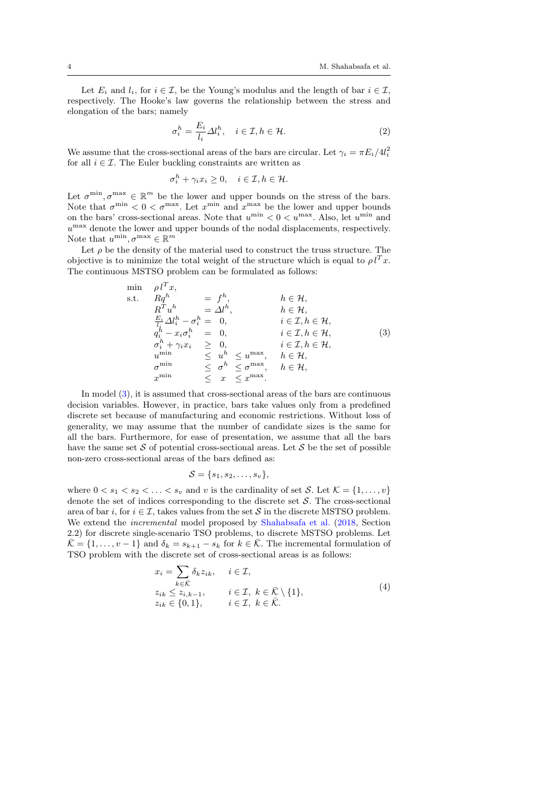Let  $E_i$  and  $l_i$ , for  $i \in \mathcal{I}$ , be the Young's modulus and the length of bar  $i \in \mathcal{I}$ , respectively. The Hooke's law governs the relationship between the stress and elongation of the bars; namely

<span id="page-4-2"></span>
$$
\sigma_i^h = \frac{E_i}{l_i} \Delta l_i^h, \quad i \in \mathcal{I}, h \in \mathcal{H}.
$$
 (2)

We assume that the cross-sectional areas of the bars are circular. Let  $\gamma_i = \pi E_i / 4l_i^2$ for all  $i \in \mathcal{I}$ . The Euler buckling constraints are written as

$$
\sigma_i^h + \gamma_i x_i \ge 0, \quad i \in \mathcal{I}, h \in \mathcal{H}.
$$

Let  $\sigma^{\min}, \sigma^{\max} \in \mathbb{R}^m$  be the lower and upper bounds on the stress of the bars. Note that  $\sigma^{\min} < 0 < \sigma^{\max}$ . Let  $x^{\min}$  and  $x^{\max}$  be the lower and upper bounds on the bars' cross-sectional areas. Note that  $u^{\min} < 0 < u^{\max}$ . Also, let  $u^{\min}$  and  $u^{\max}$  denote the lower and upper bounds of the nodal displacements, respectively. Note that  $u^{\min}, \sigma^{\max} \in \mathbb{R}^m$ 

Let  $\rho$  be the density of the material used to construct the truss structure. The objective is to minimize the total weight of the structure which is equal to  $\rho l^T x$ . The continuous MSTSO problem can be formulated as follows:

$$
\begin{array}{llll}\n\min & \rho l^T x, \\
\text{s.t.} & Rq^h & = f^h, \\
R^T u^h & = \Delta l^h, \\
\frac{E_i}{l_i} \Delta l_i^h - \sigma_i^h = 0, \\
q_i^h - x_i \sigma_i^h = 0, \\
\sigma_i^h + \gamma_i x_i & \geq 0, \\
u^{\min} & \leq u^h \leq u^{\max}, \quad h \in \mathcal{H}, \\
u^{\min} & \leq \sigma^h \leq \sigma^{\max}, \quad h \in \mathcal{H}, \\
x^{\min} & \leq x \leq x^{\max}.\n\end{array}\n\tag{3}
$$

In model [\(3\)](#page-4-0), it is assumed that cross-sectional areas of the bars are continuous decision variables. However, in practice, bars take values only from a predefined discrete set because of manufacturing and economic restrictions. Without loss of generality, we may assume that the number of candidate sizes is the same for all the bars. Furthermore, for ease of presentation, we assume that all the bars have the same set  $S$  of potential cross-sectional areas. Let  $S$  be the set of possible non-zero cross-sectional areas of the bars defined as:

<span id="page-4-1"></span><span id="page-4-0"></span>
$$
\mathcal{S} = \{s_1, s_2, \ldots, s_v\},\
$$

where  $0 < s_1 < s_2 < \ldots < s_v$  and v is the cardinality of set S. Let  $\mathcal{K} = \{1, \ldots, v\}$ denote the set of indices corresponding to the discrete set  $S$ . The cross-sectional area of bar i, for  $i \in \mathcal{I}$ , takes values from the set S in the discrete MSTSO problem. We extend the incremental model proposed by [Shahabsafa et al.](#page-14-1) [\(2018,](#page-14-1) Section 2.2) for discrete single-scenario TSO problems, to discrete MSTSO problems. Let  $\bar{\mathcal{K}} = \{1, \ldots, v-1\}$  and  $\delta_k = s_{k+1} - s_k$  for  $k \in \bar{\mathcal{K}}$ . The incremental formulation of TSO problem with the discrete set of cross-sectional areas is as follows:

$$
x_i = \sum_{k \in \bar{\mathcal{K}}} \delta_k z_{ik}, \quad i \in \mathcal{I},
$$
  
\n
$$
z_{ik} \le z_{i,k-1}, \quad i \in \mathcal{I}, \ k \in \bar{\mathcal{K}} \setminus \{1\},
$$
  
\n
$$
z_{ik} \in \{0,1\}, \quad i \in \mathcal{I}, \ k \in \bar{\mathcal{K}}.
$$
\n
$$
(4)
$$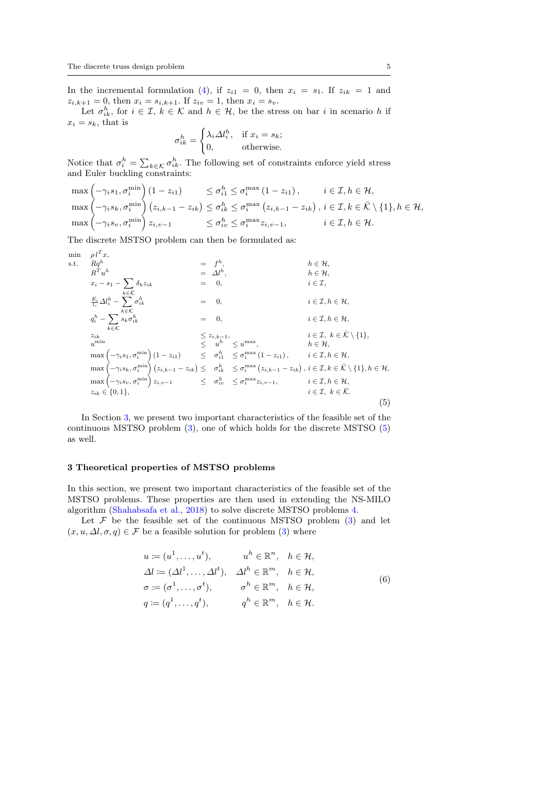In the incremental formulation [\(4\)](#page-4-1), if  $z_{i1} = 0$ , then  $x_i = s_1$ . If  $z_{ik} = 1$  and  $z_{i,k+1} = 0$ , then  $x_i = s_{i,k+1}$ . If  $z_{iv} = 1$ , then  $x_i = s_v$ .

Let  $\sigma_{ik}^h$ , for  $i \in \mathcal{I}, k \in \mathcal{K}$  and  $h \in \mathcal{H}$ , be the stress on bar i in scenario h if  $x_i = s_k$ , that is  $\overline{\phantom{a}}$ 

$$
\sigma_{ik}^h = \begin{cases} \lambda_i \Delta l_i^h, & \text{if } x_i = s_k; \\ 0, & \text{otherwise.} \end{cases}
$$

Notice that  $\sigma_i^h = \sum_{k \in \mathcal{K}} \sigma_{ik}^h$ . The following set of constraints enforce yield stress and Euler buckling constraints:

$$
\max\left(-\gamma_i s_1, \sigma_i^{\min}\right)(1-z_{i1}) \leq \sigma_{i1}^h \leq \sigma_i^{\max}\left(1-z_{i1}\right), \qquad i \in \mathcal{I}, h \in \mathcal{H},
$$
  
\n
$$
\max\left(-\gamma_i s_k, \sigma_i^{\min}\right)(z_{i,k-1}-z_{ik}) \leq \sigma_{i k}^h \leq \sigma_i^{\max}\left(z_{i,k-1}-z_{ik}\right), i \in \mathcal{I}, k \in \bar{\mathcal{K}} \setminus \{1\}, h \in \mathcal{H},
$$
  
\n
$$
\max\left(-\gamma_i s_v, \sigma_i^{\min}\right) z_{i,v-1} \leq \sigma_{iv}^h \leq \sigma_i^{\max} z_{i,v-1}, \qquad i \in \mathcal{I}, h \in \mathcal{H}.
$$

The discrete MSTSO problem can then be formulated as:

$$
\begin{array}{llll}\n\min & \rho l^T x, & \text{s.t.} & Rq^h & & \text{s.t.} & Rq^h & & \text{s.t.} & Rq^h & & \text{s.t.} & Rq^h & & \text{s.t.} & Rq^h & & \text{s.t.} & h \in \mathcal{H}, & \text{h} \in \mathcal{H}, & h \in \mathcal{H}, & h \in \mathcal{H}, & h \in \mathcal{H}, & h \in \mathcal{H}, & h \in \mathcal{H}, & h \in \mathcal{H}, & h \in \mathcal{H}, & h \in \mathcal{H}, & h \in \mathcal{H}, & h \in \mathcal{H}, & h \in \mathcal{H}, & h \in \mathcal{H}, & h \in \mathcal{H}, & h \in \mathcal{H}, & h \in \mathcal{H}, & h \in \mathcal{H}, & h \in \mathcal{H}, & h \in \mathcal{H}, & h \in \mathcal{H}, & h \in \mathcal{H}, & h \in \mathcal{H}, & h \in \mathcal{H}, & h \in \mathcal{H}, & h \in \mathcal{H}, & h \in \mathcal{H}, & h \in \mathcal{H}, & h \in \mathcal{H}, & h \in \mathcal{H}, & h \in \mathcal{H}, & h \in \mathcal{H}, & h \in \mathcal{H}, & h \in \mathcal{H}, & h \in \mathcal{H}, & h \in \mathcal{H}, & h \in \mathcal{H}, & h \in \mathcal{H}, & h \in \mathcal{H}, & h \in \mathcal{H}, & h \in \mathcal{H}, & h \in \mathcal{H}, & h \in \mathcal{H}, & h \in \mathcal{H}, & h \in \mathcal{H}, & h \in \mathcal{H}, & h \in \mathcal{H}, & h \in \mathcal{H}, & h \in \mathcal{H}, & h \in \mathcal{H}, & h \in \mathcal{H}, & h \in \mathcal{H}, & h \in \
$$

In Section [3,](#page-5-0) we present two important characteristics of the feasible set of the continuous MSTSO problem [\(3\)](#page-4-0), one of which holds for the discrete MSTSO [\(5\)](#page-5-1) as well.

#### <span id="page-5-0"></span>3 Theoretical properties of MSTSO problems

In this section, we present two important characteristics of the feasible set of the MSTSO problems. These properties are then used in extending the NS-MILO algorithm [\(Shahabsafa et al.,](#page-14-1) [2018\)](#page-14-1) to solve discrete MSTSO problems [4.](#page-8-0)

Let  $F$  be the feasible set of the continuous MSTSO problem [\(3\)](#page-4-0) and let  $(x, u, \Delta l, \sigma, q) \in \mathcal{F}$  be a feasible solution for problem [\(3\)](#page-4-0) where

<span id="page-5-2"></span><span id="page-5-1"></span>
$$
u := (u^1, \dots, u^t), \qquad u^h \in \mathbb{R}^n, \quad h \in \mathcal{H},
$$
  
\n
$$
\Delta l := (\Delta l^1, \dots, \Delta l^t), \quad \Delta l^h \in \mathbb{R}^m, \quad h \in \mathcal{H},
$$
  
\n
$$
\sigma := (\sigma^1, \dots, \sigma^t), \qquad \sigma^h \in \mathbb{R}^m, \quad h \in \mathcal{H},
$$
  
\n
$$
q := (q^1, \dots, q^t), \qquad q^h \in \mathbb{R}^m, \quad h \in \mathcal{H}.
$$
\n(6)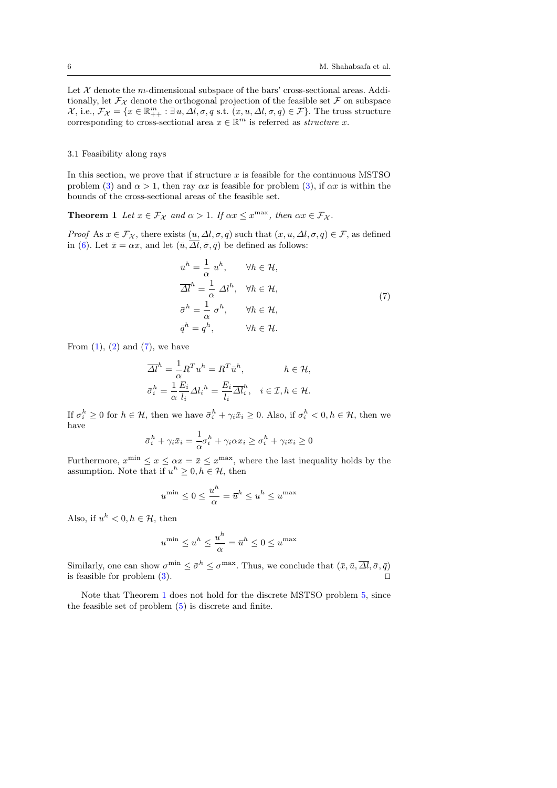Let  $X$  denote the m-dimensional subspace of the bars' cross-sectional areas. Additionally, let  $\mathcal{F}_{\mathcal{X}}$  denote the orthogonal projection of the feasible set  $\mathcal F$  on subspace  $\mathcal{X}, \text{ i.e., } \mathcal{F}_{\mathcal{X}} = \{x \in \mathbb{R}_{++}^m : \exists u, \Delta l, \sigma, q \text{ s.t. } (x, u, \Delta l, \sigma, q) \in \mathcal{F}\}.$  The truss structure corresponding to cross-sectional area  $x \in \mathbb{R}^m$  is referred as *structure x*.

#### 3.1 Feasibility along rays

In this section, we prove that if structure  $x$  is feasible for the continuous MSTSO problem [\(3\)](#page-4-0) and  $\alpha > 1$ , then ray  $\alpha x$  is feasible for problem (3), if  $\alpha x$  is within the bounds of the cross-sectional areas of the feasible set.

<span id="page-6-1"></span>**Theorem 1** Let  $x \in \mathcal{F}_{\mathcal{X}}$  and  $\alpha > 1$ . If  $\alpha x \leq x^{\max}$ , then  $\alpha x \in \mathcal{F}_{\mathcal{X}}$ .

*Proof* As  $x \in \mathcal{F_X}$ , there exists  $(u, \Delta l, \sigma, q)$  such that  $(x, u, \Delta l, \sigma, q) \in \mathcal{F}$ , as defined in [\(6\)](#page-5-2). Let  $\bar{x} = \alpha x$ , and let  $(\bar{u}, \overline{\Delta l}, \bar{\sigma}, \bar{q})$  be defined as follows:

<span id="page-6-0"></span>
$$
\bar{u}^{h} = \frac{1}{\alpha} u^{h}, \qquad \forall h \in \mathcal{H},
$$
  
\n
$$
\overline{\Delta l}^{h} = \frac{1}{\alpha} \Delta l^{h}, \quad \forall h \in \mathcal{H},
$$
  
\n
$$
\bar{\sigma}^{h} = \frac{1}{\alpha} \sigma^{h}, \qquad \forall h \in \mathcal{H},
$$
  
\n
$$
\bar{q}^{h} = q^{h}, \qquad \forall h \in \mathcal{H}.
$$
\n(7)

From  $(1)$ ,  $(2)$  and  $(7)$ , we have

$$
\overline{\Delta l}^h = \frac{1}{\alpha} R^T u^h = R^T \bar{u}^h, \qquad h \in \mathcal{H},
$$
  

$$
\bar{\sigma}_i^h = \frac{1}{\alpha} \frac{E_i}{l_i} \Delta l_i^h = \frac{E_i}{l_i} \overline{\Delta l}_i^h, \quad i \in \mathcal{I}, h \in \mathcal{H}.
$$

If  $\sigma_i^h \geq 0$  for  $h \in \mathcal{H}$ , then we have  $\bar{\sigma}_i^h + \gamma_i \bar{x}_i \geq 0$ . Also, if  $\sigma_i^h < 0, h \in \mathcal{H}$ , then we have

$$
\bar{\sigma}_i^h + \gamma_i \bar{x}_i = \frac{1}{\alpha} \sigma_i^h + \gamma_i \alpha x_i \ge \sigma_i^h + \gamma_i x_i \ge 0
$$

Furthermore,  $x^{\min} \leq x \leq \alpha x = \bar{x} \leq x^{\max}$ , where the last inequality holds by the assumption. Note that if  $u^h \geq 0, h \in \mathcal{H}$ , then

$$
u^{\min} \le 0 \le \frac{u^h}{\alpha} = \overline{u}^h \le u^h \le u^{\max}
$$

Also, if  $u^h < 0, h \in \mathcal{H}$ , then

$$
u^{\mathrm{min}} \leq u^h \leq \frac{u^h}{\alpha} = \overline{u}^h \leq 0 \leq u^{\mathrm{max}}
$$

Similarly, one can show  $\sigma^{\min} \leq \bar{\sigma}^h \leq \sigma^{\max}$ . Thus, we conclude that  $(\bar{x}, \bar{u}, \overline{\Delta l}, \bar{\sigma}, \bar{q})$ is feasible for problem  $(3)$ .

Note that Theorem [1](#page-6-1) does not hold for the discrete MSTSO problem [5,](#page-5-1) since the feasible set of problem [\(5\)](#page-5-1) is discrete and finite.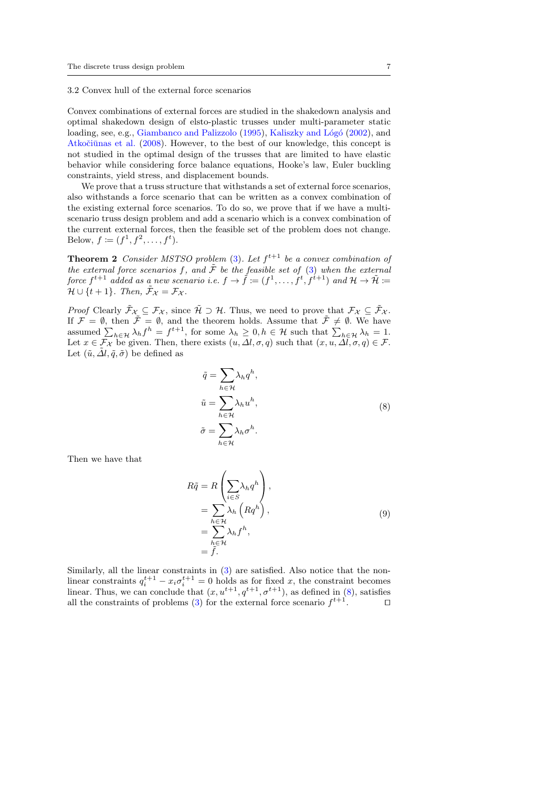3.2 Convex hull of the external force scenarios

Convex combinations of external forces are studied in the shakedown analysis and optimal shakedown design of elsto-plastic trusses under multi-parameter static loading, see, e.g., [Giambanco and Palizzolo](#page-13-7) [\(1995\)](#page-13-7), Kaliszky and Lógó [\(2002\)](#page-14-8), and Atkočiūnas et al. [\(2008\)](#page-13-8). However, to the best of our knowledge, this concept is not studied in the optimal design of the trusses that are limited to have elastic behavior while considering force balance equations, Hooke's law, Euler buckling constraints, yield stress, and displacement bounds.

We prove that a truss structure that withstands a set of external force scenarios, also withstands a force scenario that can be written as a convex combination of the existing external force scenarios. To do so, we prove that if we have a multiscenario truss design problem and add a scenario which is a convex combination of the current external forces, then the feasible set of the problem does not change. Below,  $f := (f^1, f^2, \dots, f^t).$ 

<span id="page-7-1"></span>**Theorem 2** Consider MSTSO problem [\(3\)](#page-4-0). Let  $f^{t+1}$  be a convex combination of the external force scenarios f, and  $\tilde{\mathcal{F}}$  be the feasible set of [\(3\)](#page-4-0) when the external force  $f^{t+1}$  added as a new scenario i.e.  $f \to \tilde{f} := (f^1, \ldots, f^t, f^{t+1})$  and  $\mathcal{H} \to \tilde{\mathcal{H}} :=$  $\mathcal{H} \cup \{t+1\}$ . Then,  $\tilde{\mathcal{F}}_{\mathcal{X}} = \mathcal{F}_{\mathcal{X}}$ .

*Proof* Clearly  $\tilde{\mathcal{F}}_{\mathcal{X}} \subseteq \mathcal{F}_{\mathcal{X}}$ , since  $\tilde{\mathcal{H}} \supset \mathcal{H}$ . Thus, we need to prove that  $\mathcal{F}_{\mathcal{X}} \subseteq \tilde{\mathcal{F}}_{\mathcal{X}}$ . If  $\mathcal{F} = \emptyset$ , then  $\tilde{\mathcal{F}} = \emptyset$ , and the theorem holds. Assume that  $\tilde{\mathcal{F}} \neq \emptyset$ . We have assumed  $\sum_{h\in\mathcal{H}} \lambda_h f^h = f^{t+1}$ , for some  $\lambda_h \geq 0, h \in \mathcal{H}$  such that  $\sum_{h\in\mathcal{H}} \lambda_h = 1$ . Let  $x \in \mathcal{F}_\mathcal{X}$  be given. Then, there exists  $(u, \Delta l, \sigma, q)$  such that  $(x, u, \Delta l, \sigma, q) \in \mathcal{F}$ . Let  $(\tilde{u}, \tilde{\Delta}l, \tilde{q}, \tilde{\sigma})$  be defined as

<span id="page-7-0"></span>
$$
\tilde{q} = \sum_{h \in \mathcal{H}} \lambda_h q^h,
$$
\n
$$
\tilde{u} = \sum_{h \in \mathcal{H}} \lambda_h u^h,
$$
\n
$$
\tilde{\sigma} = \sum_{h \in \mathcal{H}} \lambda_h \sigma^h.
$$
\n(8)

Then we have that

$$
R\tilde{q} = R\left(\sum_{i \in S} \lambda_h q^h\right),
$$
  
= 
$$
\sum_{h \in \mathcal{H}} \lambda_h \left(Rq^h\right),
$$
  
= 
$$
\sum_{h \in \mathcal{H}} \lambda_h f^h,
$$
  
= 
$$
\tilde{f}.
$$
 (9)

<span id="page-7-2"></span>Similarly, all the linear constraints in [\(3\)](#page-4-0) are satisfied. Also notice that the nonlinear constraints  $q_i^{t+1} - x_i \sigma_i^{t+1} = 0$  holds as for fixed x, the constraint becomes linear. Thus, we can conclude that  $(x, u^{t+1}, q^{t+1}, \sigma^{t+1})$ , as defined in [\(8\)](#page-7-0), satisfies all the constraints of problems [\(3\)](#page-4-0) for the external force scenario  $f^{t+1}$ .  $\Box$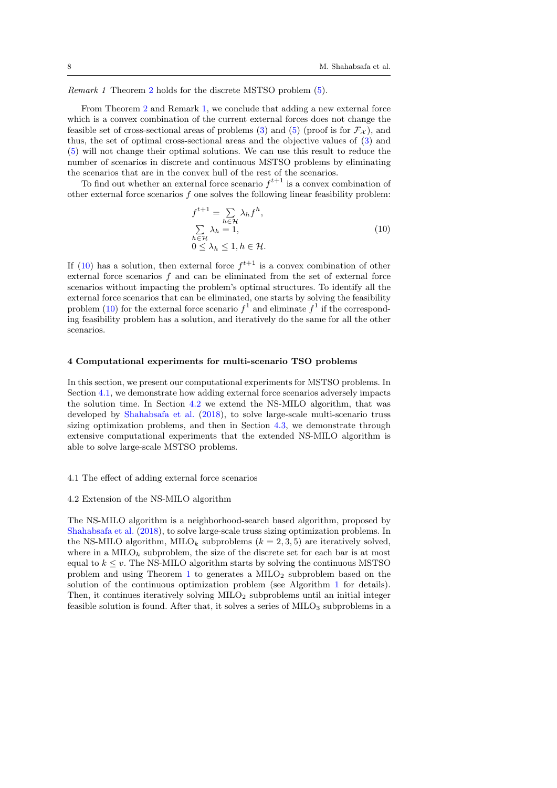Remark 1 Theorem [2](#page-7-1) holds for the discrete MSTSO problem [\(5\)](#page-5-1).

From Theorem [2](#page-7-1) and Remark [1,](#page-7-2) we conclude that adding a new external force which is a convex combination of the current external forces does not change the feasible set of cross-sectional areas of problems [\(3\)](#page-4-0) and [\(5\)](#page-5-1) (proof is for  $\mathcal{F}_{\mathcal{X}}$ ), and thus, the set of optimal cross-sectional areas and the objective values of [\(3\)](#page-4-0) and [\(5\)](#page-5-1) will not change their optimal solutions. We can use this result to reduce the number of scenarios in discrete and continuous MSTSO problems by eliminating the scenarios that are in the convex hull of the rest of the scenarios.

To find out whether an external force scenario  $f^{t+1}$  is a convex combination of other external force scenarios  $f$  one solves the following linear feasibility problem:

<span id="page-8-1"></span>
$$
f^{t+1} = \sum_{h \in \mathcal{H}} \lambda_h f^h,
$$
  

$$
\sum_{h \in \mathcal{H}} \lambda_h = 1,
$$
  

$$
0 \le \lambda_h \le 1, h \in \mathcal{H}.
$$
  
(10)

If [\(10\)](#page-8-1) has a solution, then external force  $f^{t+1}$  is a convex combination of other external force scenarios  $f$  and can be eliminated from the set of external force scenarios without impacting the problem's optimal structures. To identify all the external force scenarios that can be eliminated, one starts by solving the feasibility problem [\(10\)](#page-8-1) for the external force scenario  $f^1$  and eliminate  $f^1$  if the corresponding feasibility problem has a solution, and iteratively do the same for all the other scenarios.

#### <span id="page-8-0"></span>4 Computational experiments for multi-scenario TSO problems

In this section, we present our computational experiments for MSTSO problems. In Section [4.1,](#page-8-2) we demonstrate how adding external force scenarios adversely impacts the solution time. In Section [4.2](#page-8-3) we extend the NS-MILO algorithm, that was developed by [Shahabsafa et al.](#page-14-1) [\(2018\)](#page-14-1), to solve large-scale multi-scenario truss sizing optimization problems, and then in Section [4.3,](#page-9-0) we demonstrate through extensive computational experiments that the extended NS-MILO algorithm is able to solve large-scale MSTSO problems.

#### <span id="page-8-2"></span>4.1 The effect of adding external force scenarios

#### <span id="page-8-3"></span>4.2 Extension of the NS-MILO algorithm

The NS-MILO algorithm is a neighborhood-search based algorithm, proposed by [Shahabsafa et al.](#page-14-1) [\(2018\)](#page-14-1), to solve large-scale truss sizing optimization problems. In the NS-MILO algorithm, MILO<sub>k</sub> subproblems  $(k = 2, 3, 5)$  are iteratively solved, where in a  $\text{MILO}_k$  subproblem, the size of the discrete set for each bar is at most equal to  $k \leq v$ . The NS-MILO algorithm starts by solving the continuous MSTSO problem and using Theorem [1](#page-6-1) to generates a  $\text{MILO}_2$  subproblem based on the solution of the continuous optimization problem (see Algorithm [1](#page-9-1) for details). Then, it continues iteratively solving  $MILO<sub>2</sub>$  subproblems until an initial integer feasible solution is found. After that, it solves a series of  $\text{MILO}_3$  subproblems in a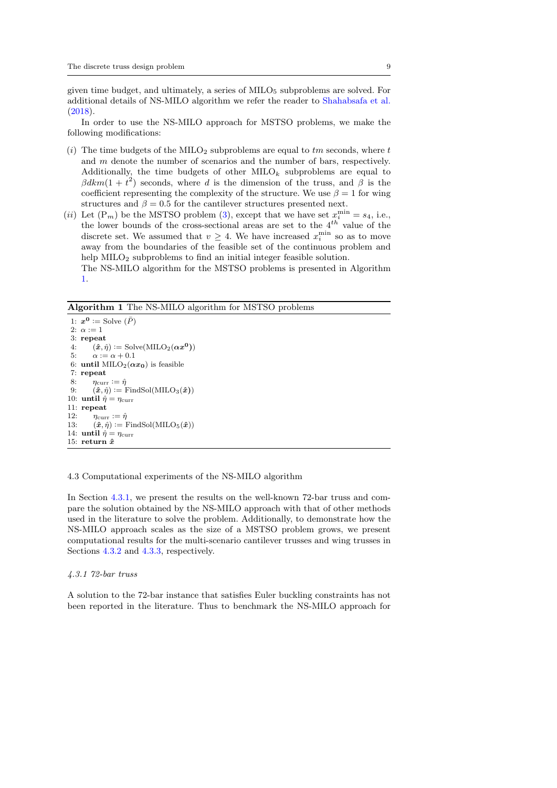given time budget, and ultimately, a series of  $\text{MILO}_5$  subproblems are solved. For additional details of NS-MILO algorithm we refer the reader to [Shahabsafa et al.](#page-14-1) [\(2018\)](#page-14-1).

In order to use the NS-MILO approach for MSTSO problems, we make the following modifications:

- (i) The time budgets of the MILO<sub>2</sub> subproblems are equal to  $tm$  seconds, where  $t$ and  $m$  denote the number of scenarios and the number of bars, respectively. Additionally, the time budgets of other  $MLO_k$  subproblems are equal to  $\beta dkm(1+t^2)$  seconds, where d is the dimension of the truss, and  $\beta$  is the coefficient representing the complexity of the structure. We use  $\beta = 1$  for wing structures and  $\beta = 0.5$  for the cantilever structures presented next.
- (*ii*) Let  $(P_m)$  be the MSTSO problem [\(3\)](#page-4-0), except that we have set  $x_i^{\min} = s_4$ , i.e., the lower bounds of the cross-sectional areas are set to the  $4^{th}$  value of the discrete set. We assumed that  $v \geq 4$ . We have increased  $x_i^{\min}$  so as to move away from the boundaries of the feasible set of the continuous problem and help MILO<sub>2</sub> subproblems to find an initial integer feasible solution.

The NS-MILO algorithm for the MSTSO problems is presented in Algorithm [1.](#page-9-1)

<span id="page-9-1"></span>Algorithm 1 The NS-MILO algorithm for MSTSO problems

```
1: x^0 := Solve (\bar{P})2: \alpha := 13: repeat<br>4: (\hat{x}, i)4: (\hat{x}, \hat{\eta}) := \text{Solve}(\text{MILO}_2(\alpha x^0))<br>5: \alpha := \alpha + 0.1\alpha := \alpha + 0.16: until MILO<sub>2</sub>(\alpha x_0) is feasible
  7: repeat
  8: \eta_{\text{curr}} := \hat{\eta}9: (\hat{x}, \hat{\eta}) \coloneqq FindSol(MILO<sub>3</sub>(\hat{x}))
10: until \hat{\eta} = \eta_{\text{curr}}11: repeat
12: \eta_{\text{curr}} := \hat{\eta}<br>13: (\hat{x}, \hat{\eta}) := F(\hat{\boldsymbol{x}}, \hat{\eta}) := FindSol(MILO<sub>5</sub>(\hat{\boldsymbol{x}}))
14: until \hat{\eta} = \eta_{\text{curr}}15: return \hat{x}
```
<span id="page-9-0"></span>4.3 Computational experiments of the NS-MILO algorithm

In Section [4.3.1,](#page-9-2) we present the results on the well-known 72-bar truss and compare the solution obtained by the NS-MILO approach with that of other methods used in the literature to solve the problem. Additionally, to demonstrate how the NS-MILO approach scales as the size of a MSTSO problem grows, we present computational results for the multi-scenario cantilever trusses and wing trusses in Sections [4.3.2](#page-10-0) and [4.3.3,](#page-12-0) respectively.

#### <span id="page-9-2"></span>4.3.1 72-bar truss

A solution to the 72-bar instance that satisfies Euler buckling constraints has not been reported in the literature. Thus to benchmark the NS-MILO approach for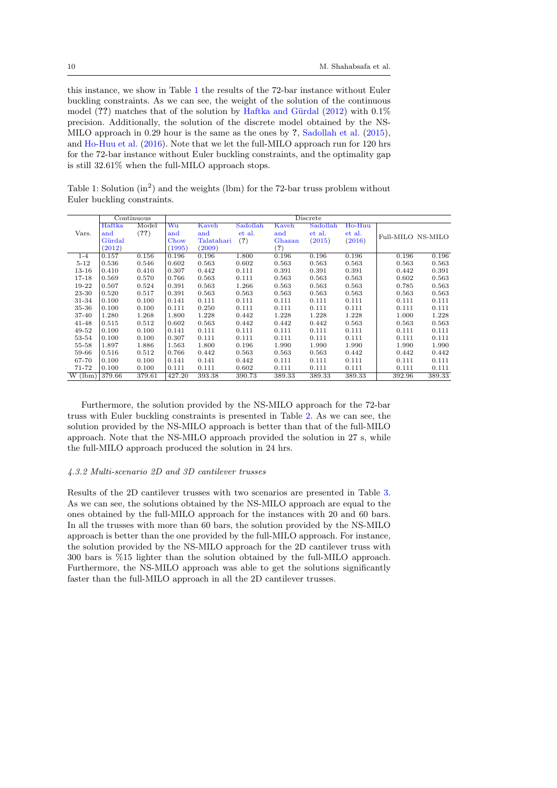this instance, we show in Table [1](#page-10-1) the results of the 72-bar instance without Euler buckling constraints. As we can see, the weight of the solution of the continuous model  $(?)$  matches that of the solution by Haftka and Gürdal  $(2012)$  with  $0.1\%$ precision. Additionally, the solution of the discrete model obtained by the NS-MILO approach in 0.29 hour is the same as the ones by ?, [Sadollah et al.](#page-14-9) [\(2015\)](#page-14-9), and [Ho-Huu et al.](#page-13-10) [\(2016\)](#page-13-10). Note that we let the full-MILO approach run for 120 hrs for the 72-bar instance without Euler buckling constraints, and the optimality gap is still 32.61% when the full-MILO approach stops.

<span id="page-10-1"></span>Table 1: Solution  $(in^2)$  and the weights (lbm) for the 72-bar truss problem without Euler buckling constraints.

|           | Continuous |        | Discrete |            |          |        |          |        |                   |        |  |
|-----------|------------|--------|----------|------------|----------|--------|----------|--------|-------------------|--------|--|
|           | Haftka     | Model  | Wu       | Kaveh      | Sadollah | Kaveh  | Sadollah | Ho-Huu |                   |        |  |
| Vars.     | and        | (?)    | and      | and        | et al.   | and    | et al.   | et al. | Full-MILO NS-MILO |        |  |
|           | Gürdal     |        | Chow     | Talatahari | (?)      | Ghazan | (2015)   | (2016) |                   |        |  |
|           | (2012)     |        | (1995)   | (2009)     |          | (?)    |          |        |                   |        |  |
| $1 - 4$   | 0.157      | 0.156  | 0.196    | 0.196      | 1.800    | 0.196  | 0.196    | 0.196  | 0.196             | 0.196  |  |
| $5 - 12$  | 0.536      | 0.546  | 0.602    | 0.563      | 0.602    | 0.563  | 0.563    | 0.563  | 0.563             | 0.563  |  |
| $13 - 16$ | 0.410      | 0.410  | 0.307    | 0.442      | 0.111    | 0.391  | 0.391    | 0.391  | 0.442             | 0.391  |  |
| 17-18     | 0.569      | 0.570  | 0.766    | 0.563      | 0.111    | 0.563  | 0.563    | 0.563  | 0.602             | 0.563  |  |
| 19-22     | 0.507      | 0.524  | 0.391    | 0.563      | 1.266    | 0.563  | 0.563    | 0.563  | 0.785             | 0.563  |  |
| 23-30     | 0.520      | 0.517  | 0.391    | 0.563      | 0.563    | 0.563  | 0.563    | 0.563  | 0.563             | 0.563  |  |
| 31-34     | 0.100      | 0.100  | 0.141    | 0.111      | 0.111    | 0.111  | 0.111    | 0.111  | 0.111             | 0.111  |  |
| 35-36     | 0.100      | 0.100  | 0.111    | 0.250      | 0.111    | 0.111  | 0.111    | 0.111  | 0.111             | 0.111  |  |
| 37-40     | 1.280      | 1.268  | 1.800    | 1.228      | 0.442    | 1.228  | 1.228    | 1.228  | 1.000             | 1.228  |  |
| 41-48     | 0.515      | 0.512  | 0.602    | 0.563      | 0.442    | 0.442  | 0.442    | 0.563  | 0.563             | 0.563  |  |
| 49-52     | 0.100      | 0.100  | 0.141    | 0.111      | 0.111    | 0.111  | 0.111    | 0.111  | 0.111             | 0.111  |  |
| 53-54     | 0.100      | 0.100  | 0.307    | 0.111      | 0.111    | 0.111  | 0.111    | 0.111  | 0.111             | 0.111  |  |
| 55-58     | 1.897      | 1.886  | 1.563    | 1.800      | 0.196    | 1.990  | 1.990    | 1.990  | 1.990             | 1.990  |  |
| 59-66     | 0.516      | 0.512  | 0.766    | 0.442      | 0.563    | 0.563  | 0.563    | 0.442  | 0.442             | 0.442  |  |
| 67-70     | 0.100      | 0.100  | 0.141    | 0.141      | 0.442    | 0.111  | 0.111    | 0.111  | 0.111             | 0.111  |  |
| 71-72     | 0.100      | 0.100  | 0.111    | 0.111      | 0.602    | 0.111  | 0.111    | 0.111  | 0.111             | 0.111  |  |
| W(lbm)    | 379.66     | 379.61 | 427.20   | 393.38     | 390.73   | 389.33 | 389.33   | 389.33 | 392.96            | 389.33 |  |

Furthermore, the solution provided by the NS-MILO approach for the 72-bar truss with Euler buckling constraints is presented in Table [2.](#page-11-0) As we can see, the solution provided by the NS-MILO approach is better than that of the full-MILO approach. Note that the NS-MILO approach provided the solution in 27 s, while the full-MILO approach produced the solution in 24 hrs.

#### <span id="page-10-0"></span>4.3.2 Multi-scenario 2D and 3D cantilever trusses

Results of the 2D cantilever trusses with two scenarios are presented in Table [3.](#page-11-1) As we can see, the solutions obtained by the NS-MILO approach are equal to the ones obtained by the full-MILO approach for the instances with 20 and 60 bars. In all the trusses with more than 60 bars, the solution provided by the NS-MILO approach is better than the one provided by the full-MILO approach. For instance, the solution provided by the NS-MILO approach for the 2D cantilever truss with 300 bars is %15 lighter than the solution obtained by the full-MILO approach. Furthermore, the NS-MILO approach was able to get the solutions significantly faster than the full-MILO approach in all the 2D cantilever trusses.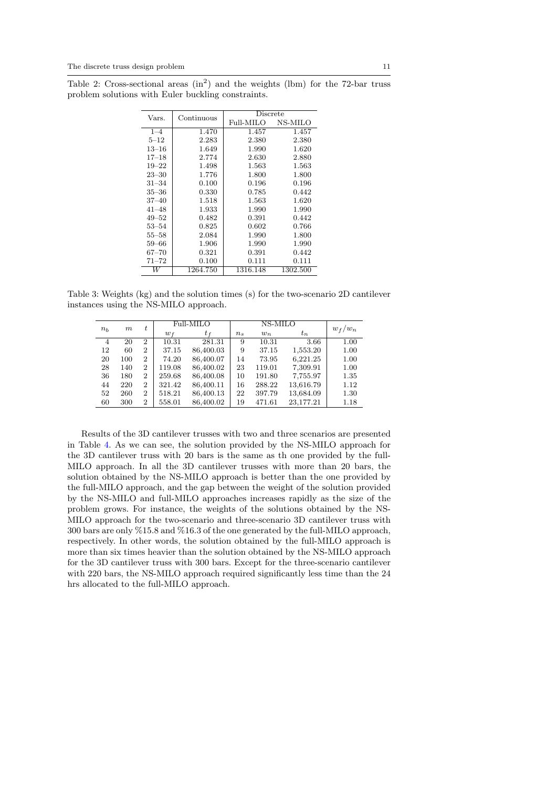<span id="page-11-0"></span>Table 2: Cross-sectional areas  $(in^2)$  and the weights (lbm) for the 72-bar truss problem solutions with Euler buckling constraints.

|                 |             | Discrete  |          |  |  |  |
|-----------------|-------------|-----------|----------|--|--|--|
| Vars.           | Continuous  | Full-MILO | NS-MILO  |  |  |  |
| $1 - 4$         | 1.470       | 1.457     | 1.457    |  |  |  |
| $5 - 12$        | 2.283       | 2.380     | 2.380    |  |  |  |
| $13\hbox{--}16$ | 1.649       | 1.990     | 1.620    |  |  |  |
| $17 - 18$       | 2.774       | 2.630     | 2.880    |  |  |  |
| $19 - 22$       | 1.498       | 1.563     | 1.563    |  |  |  |
| $23 - 30$       | 1.776       | 1.800     | 1.800    |  |  |  |
| 31–34           | 0.100       | 0.196     | 0.196    |  |  |  |
| $35 - 36$       | 0.330       | 0.785     | 0.442    |  |  |  |
| $37 - 40$       | 1.518       | 1.563     | 1.620    |  |  |  |
| $41 - 48$       | 1.933       | 1.990     | 1.990    |  |  |  |
| $49 - 52$       | 0.482       | 0.391     | 0.442    |  |  |  |
| $53 - 54$       | 0.825       | 0.602     | 0.766    |  |  |  |
| $55 - 58$       | 2.084       | 1.990     | 1.800    |  |  |  |
| 59–66           | 1.906       | 1.990     | 1.990    |  |  |  |
| $67 - 70$       | $\;\:0.321$ | 0.391     | 0.442    |  |  |  |
| $71 - 72$       | 0.100       | 0.111     | 0.111    |  |  |  |
| W               | 1264.750    | 1316.148  | 1302.500 |  |  |  |

<span id="page-11-1"></span>Table 3: Weights (kg) and the solution times (s) for the two-scenario 2D cantilever instances using the NS-MILO approach.

| $n_{h}$ |     | t              |        | Full-MILO |         |        |           |           |
|---------|-----|----------------|--------|-----------|---------|--------|-----------|-----------|
|         | m   |                | $w_f$  | $t_f$     | $n_{s}$ | $w_n$  | $t_n$     | $w_f/w_n$ |
| 4       | 20  | $\overline{2}$ | 10.31  | 281.31    | 9       | 10.31  | 3.66      | 1.00      |
| 12      | 60  | $\overline{2}$ | 37.15  | 86,400.03 | 9       | 37.15  | 1,553.20  | 1.00      |
| 20      | 100 | $\overline{2}$ | 74.20  | 86,400.07 | 14      | 73.95  | 6,221.25  | 1.00      |
| 28      | 140 | $\overline{2}$ | 119.08 | 86,400.02 | 23      | 119.01 | 7,309.91  | 1.00      |
| 36      | 180 | 2              | 259.68 | 86,400.08 | 10      | 191.80 | 7,755.97  | 1.35      |
| 44      | 220 | $\overline{2}$ | 321.42 | 86,400.11 | 16      | 288.22 | 13,616.79 | 1.12      |
| 52      | 260 | 2              | 518.21 | 86,400.13 | 22      | 397.79 | 13,684.09 | 1.30      |
| 60      | 300 | 2              | 558.01 | 86,400.02 | 19      | 471.61 | 23,177.21 | 1.18      |

Results of the 3D cantilever trusses with two and three scenarios are presented in Table [4.](#page-12-1) As we can see, the solution provided by the NS-MILO approach for the 3D cantilever truss with 20 bars is the same as th one provided by the full-MILO approach. In all the 3D cantilever trusses with more than 20 bars, the solution obtained by the NS-MILO approach is better than the one provided by the full-MILO approach, and the gap between the weight of the solution provided by the NS-MILO and full-MILO approaches increases rapidly as the size of the problem grows. For instance, the weights of the solutions obtained by the NS-MILO approach for the two-scenario and three-scenario 3D cantilever truss with 300 bars are only %15.8 and %16.3 of the one generated by the full-MILO approach, respectively. In other words, the solution obtained by the full-MILO approach is more than six times heavier than the solution obtained by the NS-MILO approach for the 3D cantilever truss with 300 bars. Except for the three-scenario cantilever with 220 bars, the NS-MILO approach required significantly less time than the 24 hrs allocated to the full-MILO approach.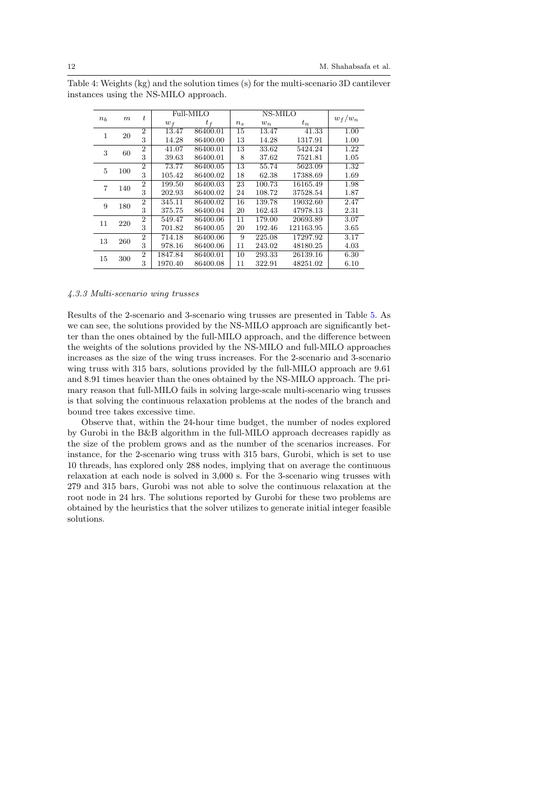| n <sub>b</sub> | $_{m}$ | t                | Full-MILO |          | $w_f/w_n$ |        |           |      |
|----------------|--------|------------------|-----------|----------|-----------|--------|-----------|------|
|                |        |                  | $w_f$     | $t_f$    | $n_{s}$   | $w_n$  | $t_n$     |      |
| 1              | 20     | $\boldsymbol{2}$ | 13.47     | 86400.01 | 15        | 13.47  | 41.33     | 1.00 |
|                |        | 3                | 14.28     | 86400.00 | 13        | 14.28  | 1317.91   | 1.00 |
| 3              | 60     | $\overline{2}$   | 41.07     | 86400.01 | 13        | 33.62  | 5424.24   | 1.22 |
|                |        | 3                | 39.63     | 86400.01 | 8         | 37.62  | 7521.81   | 1.05 |
| 5              | 100    | $\overline{2}$   | 73.77     | 86400.05 | 13        | 55.74  | 5623.09   | 1.32 |
|                |        | 3                | 105.42    | 86400.02 | 18        | 62.38  | 17388.69  | 1.69 |
| 7              | 140    | $\overline{2}$   | 199.50    | 86400.03 | 23        | 100.73 | 16165.49  | 1.98 |
|                |        | 3                | 202.93    | 86400.02 | 24        | 108.72 | 37528.54  | 1.87 |
| 9              | 180    | $\overline{2}$   | 345.11    | 86400.02 | 16        | 139.78 | 19032.60  | 2.47 |
|                |        | 3                | 375.75    | 86400.04 | 20        | 162.43 | 47978.13  | 2.31 |
| 11             | 220    | $\overline{2}$   | 549.47    | 86400.06 | 11        | 179.00 | 20693.89  | 3.07 |
|                |        | 3                | 701.82    | 86400.05 | 20        | 192.46 | 121163.95 | 3.65 |
| 13             | 260    | $\overline{2}$   | 714.18    | 86400.06 | 9         | 225.08 | 17297.92  | 3.17 |
|                |        | 3                | 978.16    | 86400.06 | 11        | 243.02 | 48180.25  | 4.03 |
| 15             | 300    | $\overline{2}$   | 1847.84   | 86400.01 | 10        | 293.33 | 26139.16  | 6.30 |
|                |        | 3                | 1970.40   | 86400.08 | 11        | 322.91 | 48251.02  | 6.10 |

<span id="page-12-1"></span>Table 4: Weights (kg) and the solution times (s) for the multi-scenario 3D cantilever instances using the NS-MILO approach.

#### <span id="page-12-0"></span>4.3.3 Multi-scenario wing trusses

Results of the 2-scenario and 3-scenario wing trusses are presented in Table [5.](#page-13-11) As we can see, the solutions provided by the NS-MILO approach are significantly better than the ones obtained by the full-MILO approach, and the difference between the weights of the solutions provided by the NS-MILO and full-MILO approaches increases as the size of the wing truss increases. For the 2-scenario and 3-scenario wing truss with 315 bars, solutions provided by the full-MILO approach are 9.61 and 8.91 times heavier than the ones obtained by the NS-MILO approach. The primary reason that full-MILO fails in solving large-scale multi-scenario wing trusses is that solving the continuous relaxation problems at the nodes of the branch and bound tree takes excessive time.

Observe that, within the 24-hour time budget, the number of nodes explored by Gurobi in the B&B algorithm in the full-MILO approach decreases rapidly as the size of the problem grows and as the number of the scenarios increases. For instance, for the 2-scenario wing truss with 315 bars, Gurobi, which is set to use 10 threads, has explored only 288 nodes, implying that on average the continuous relaxation at each node is solved in 3,000 s. For the 3-scenario wing trusses with 279 and 315 bars, Gurobi was not able to solve the continuous relaxation at the root node in 24 hrs. The solutions reported by Gurobi for these two problems are obtained by the heuristics that the solver utilizes to generate initial integer feasible solutions.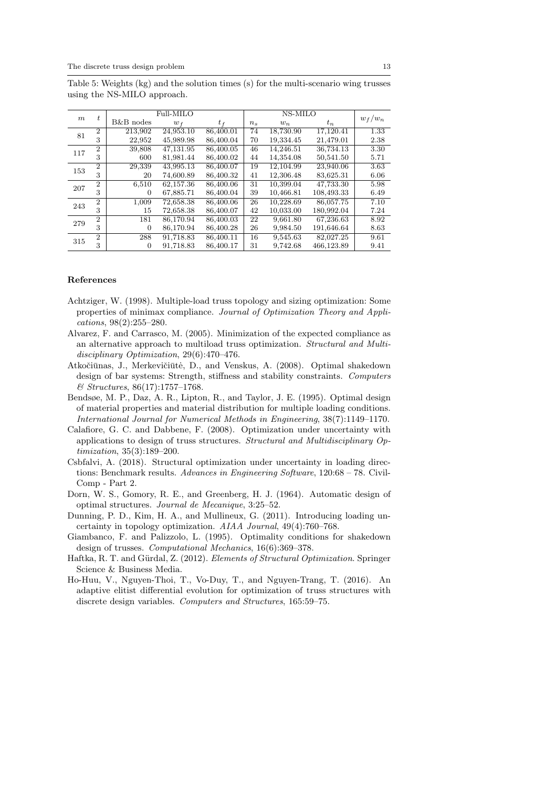|                  |                |           |           |           |         | NS-MILO   |            |      |
|------------------|----------------|-----------|-----------|-----------|---------|-----------|------------|------|
| $\boldsymbol{m}$ | t.             |           | Full-MILO |           |         | $w_f/w_n$ |            |      |
|                  |                | B&B nodes | $w_f$     | $t_f$     | $n_{s}$ | $w_n$     | $t_n$      |      |
| 81               | $\overline{2}$ | 213,902   | 24,953.10 | 86,400.01 | 74      | 18,730.90 | 17,120.41  | 1.33 |
|                  | 3              | 22,952    | 45,989.98 | 86,400.04 | 70      | 19,334.45 | 21,479.01  | 2.38 |
| 117              | $\overline{2}$ | 39,808    | 47.131.95 | 86,400.05 | 46      | 14,246.51 | 36,734.13  | 3.30 |
|                  | 3              | 600       | 81,981.44 | 86,400.02 | 44      | 14,354.08 | 50,541.50  | 5.71 |
| 153              | $\overline{2}$ | 29,339    | 43,995.13 | 86,400.07 | 19      | 12,104.99 | 23,940.06  | 3.63 |
|                  | 3              | 20        | 74,600.89 | 86,400.32 | 41      | 12,306.48 | 83,625.31  | 6.06 |
| 207              | $\overline{2}$ | 6,510     | 62,157.36 | 86,400.06 | 31      | 10,399.04 | 47,733.30  | 5.98 |
|                  | 3              | 0         | 67,885.71 | 86,400.04 | 39      | 10,466.81 | 108,493.33 | 6.49 |
| 243              | $\overline{2}$ | 1,009     | 72,658.38 | 86,400.06 | 26      | 10,228.69 | 86,057.75  | 7.10 |
|                  | 3              | 15        | 72,658.38 | 86,400.07 | 42      | 10,033.00 | 180,992.04 | 7.24 |
| 279              | $\overline{2}$ | 181       | 86,170.94 | 86,400.03 | 22      | 9,661.80  | 67,236.63  | 8.92 |
|                  | 3              | 0         | 86,170.94 | 86,400.28 | 26      | 9,984.50  | 191,646.64 | 8.63 |
| 315              | $\overline{2}$ | 288       | 91,718.83 | 86,400.11 | 16      | 9,545.63  | 82,027.25  | 9.61 |
|                  | 3              | $\theta$  | 91,718.83 | 86,400.17 | 31      | 9.742.68  | 466,123.89 | 9.41 |

<span id="page-13-11"></span>Table 5: Weights (kg) and the solution times (s) for the multi-scenario wing trusses using the NS-MILO approach.

#### References

- <span id="page-13-2"></span>Achtziger, W. (1998). Multiple-load truss topology and sizing optimization: Some properties of minimax compliance. Journal of Optimization Theory and Applications, 98(2):255–280.
- <span id="page-13-4"></span>Alvarez, F. and Carrasco, M. (2005). Minimization of the expected compliance as an alternative approach to multiload truss optimization. Structural and Multidisciplinary Optimization, 29(6):470–476.
- <span id="page-13-8"></span>Atkočiūnas, J., Merkevičiūtė, D., and Venskus, A. (2008). Optimal shakedown design of bar systems: Strength, stiffness and stability constraints. Computers & Structures, 86(17):1757–1768.
- <span id="page-13-1"></span>Bendsøe, M. P., Daz, A. R., Lipton, R., and Taylor, J. E. (1995). Optimal design of material properties and material distribution for multiple loading conditions. International Journal for Numerical Methods in Engineering, 38(7):1149–1170.
- <span id="page-13-5"></span>Calafiore, G. C. and Dabbene, F. (2008). Optimization under uncertainty with applications to design of truss structures. Structural and Multidisciplinary Optimization, 35(3):189–200.
- <span id="page-13-3"></span>Csbfalvi, A. (2018). Structural optimization under uncertainty in loading directions: Benchmark results. Advances in Engineering Software, 120:68 – 78. Civil-Comp - Part 2.
- <span id="page-13-0"></span>Dorn, W. S., Gomory, R. E., and Greenberg, H. J. (1964). Automatic design of optimal structures. Journal de Mecanique, 3:25–52.
- <span id="page-13-6"></span>Dunning, P. D., Kim, H. A., and Mullineux, G. (2011). Introducing loading uncertainty in topology optimization. AIAA Journal, 49(4):760–768.
- <span id="page-13-7"></span>Giambanco, F. and Palizzolo, L. (1995). Optimality conditions for shakedown design of trusses. Computational Mechanics, 16(6):369–378.
- <span id="page-13-9"></span>Haftka, R. T. and Gürdal, Z. (2012). Elements of Structural Optimization. Springer Science & Business Media.
- <span id="page-13-10"></span>Ho-Huu, V., Nguyen-Thoi, T., Vo-Duy, T., and Nguyen-Trang, T. (2016). An adaptive elitist differential evolution for optimization of truss structures with discrete design variables. Computers and Structures, 165:59–75.